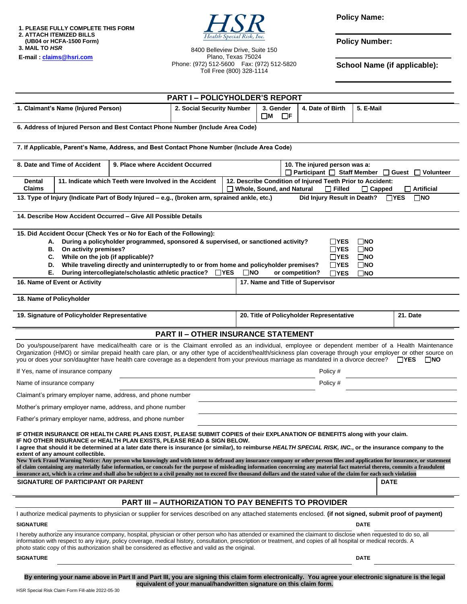**1. PLEASE FULLY COMPLETE THIS FORM 2. ATTACH ITEMIZED BILLS (UB04 or HCFA-1500 Form) 3. MAIL TO** *HSR*





8400 Belleview Drive, Suite 150 Plano, Texas 75024 Phone: (972) 512-5600 Fax: (972) 512-5820 Toll Free (800) 328-1114

**Policy Name:**

**Policy Number:**

**School Name (if applicable):**

|                                                                                                                                                                                                                                                                                                                                                                                                                                                                                                                                                                                                                                                                                                                                                                                                                                                                                                                                                            |                                                             |                                                                                                                                                            | <b>PART I-POLICYHOLDER'S REPORT</b>                                 |                                          |                                                                                                                                                       |  |                  |           |  |
|------------------------------------------------------------------------------------------------------------------------------------------------------------------------------------------------------------------------------------------------------------------------------------------------------------------------------------------------------------------------------------------------------------------------------------------------------------------------------------------------------------------------------------------------------------------------------------------------------------------------------------------------------------------------------------------------------------------------------------------------------------------------------------------------------------------------------------------------------------------------------------------------------------------------------------------------------------|-------------------------------------------------------------|------------------------------------------------------------------------------------------------------------------------------------------------------------|---------------------------------------------------------------------|------------------------------------------|-------------------------------------------------------------------------------------------------------------------------------------------------------|--|------------------|-----------|--|
| 1. Claimant's Name (Injured Person)                                                                                                                                                                                                                                                                                                                                                                                                                                                                                                                                                                                                                                                                                                                                                                                                                                                                                                                        |                                                             |                                                                                                                                                            | 2. Social Security Number                                           |                                          | 3. Gender<br>$\Box$ F<br>$\square$ M                                                                                                                  |  | 4. Date of Birth | 5. E-Mail |  |
| 6. Address of Injured Person and Best Contact Phone Number (Include Area Code)                                                                                                                                                                                                                                                                                                                                                                                                                                                                                                                                                                                                                                                                                                                                                                                                                                                                             |                                                             |                                                                                                                                                            |                                                                     |                                          |                                                                                                                                                       |  |                  |           |  |
| 7. If Applicable, Parent's Name, Address, and Best Contact Phone Number (Include Area Code)                                                                                                                                                                                                                                                                                                                                                                                                                                                                                                                                                                                                                                                                                                                                                                                                                                                                |                                                             |                                                                                                                                                            |                                                                     |                                          |                                                                                                                                                       |  |                  |           |  |
| 8. Date and Time of Accident                                                                                                                                                                                                                                                                                                                                                                                                                                                                                                                                                                                                                                                                                                                                                                                                                                                                                                                               |                                                             | 10. The injured person was a:<br>□ Participant □ Staff Member □ Guest □ Volunteer                                                                          |                                                                     |                                          |                                                                                                                                                       |  |                  |           |  |
| 11. Indicate which Teeth were Involved in the Accident<br>Dental<br><b>Claims</b>                                                                                                                                                                                                                                                                                                                                                                                                                                                                                                                                                                                                                                                                                                                                                                                                                                                                          |                                                             |                                                                                                                                                            |                                                                     |                                          | 12. Describe Condition of Injured Teeth Prior to Accident:<br>$\Box$ Whole, Sound, and Natural<br>$\Box$ Filled<br>$\Box$ Artificial<br>$\Box$ Capped |  |                  |           |  |
| Did Injury Result in Death?<br>$\Box$ YES<br>$\square$ NO<br>13. Type of Injury (Indicate Part of Body Injured – e.g., (broken arm, sprained ankle, etc.)                                                                                                                                                                                                                                                                                                                                                                                                                                                                                                                                                                                                                                                                                                                                                                                                  |                                                             |                                                                                                                                                            |                                                                     |                                          |                                                                                                                                                       |  |                  |           |  |
| 14. Describe How Accident Occurred - Give All Possible Details                                                                                                                                                                                                                                                                                                                                                                                                                                                                                                                                                                                                                                                                                                                                                                                                                                                                                             |                                                             |                                                                                                                                                            |                                                                     |                                          |                                                                                                                                                       |  |                  |           |  |
| 15. Did Accident Occur (Check Yes or No for Each of the Following):<br>During a policyholder programmed, sponsored & supervised, or sanctioned activity?<br>$\square$ NO<br><b>TYES</b><br>А.<br>On activity premises?<br>$\Box$ YES<br>В.<br>$\square$ NO<br>While on the job (if applicable)?<br>$\Box$ YES<br>$\square$ NO<br>С.<br>D.<br>While traveling directly and uninterruptedly to or from home and policyholder premises?<br>$\Box$ YES<br>$\square$ NO<br>During intercollegiate/scholastic athletic practice?<br>Е.<br>$\Box$ YES<br>$\square$ NO<br>or competition?<br>$\Box$ YES<br>$\square$ NO<br>16. Name of Event or Activity<br>17. Name and Title of Supervisor                                                                                                                                                                                                                                                                       |                                                             |                                                                                                                                                            |                                                                     |                                          |                                                                                                                                                       |  |                  |           |  |
| 18. Name of Policyholder                                                                                                                                                                                                                                                                                                                                                                                                                                                                                                                                                                                                                                                                                                                                                                                                                                                                                                                                   |                                                             |                                                                                                                                                            |                                                                     |                                          |                                                                                                                                                       |  |                  |           |  |
| 19. Signature of Policyholder Representative                                                                                                                                                                                                                                                                                                                                                                                                                                                                                                                                                                                                                                                                                                                                                                                                                                                                                                               |                                                             |                                                                                                                                                            |                                                                     | 20. Title of Policyholder Representative |                                                                                                                                                       |  |                  | 21. Date  |  |
| <b>PART II - OTHER INSURANCE STATEMENT</b>                                                                                                                                                                                                                                                                                                                                                                                                                                                                                                                                                                                                                                                                                                                                                                                                                                                                                                                 |                                                             |                                                                                                                                                            |                                                                     |                                          |                                                                                                                                                       |  |                  |           |  |
| Do you/spouse/parent have medical/health care or is the Claimant enrolled as an individual, employee or dependent member of a Health Maintenance<br>Organization (HMO) or similar prepaid health care plan, or any other type of accident/health/sickness plan coverage through your employer or other source on<br>you or does your son/daughter have health care coverage as a dependent from your previous marriage as mandated in a divorce decree? □ YES □ NO                                                                                                                                                                                                                                                                                                                                                                                                                                                                                         |                                                             |                                                                                                                                                            |                                                                     |                                          |                                                                                                                                                       |  |                  |           |  |
| If Yes, name of insurance company<br>Policy #                                                                                                                                                                                                                                                                                                                                                                                                                                                                                                                                                                                                                                                                                                                                                                                                                                                                                                              |                                                             |                                                                                                                                                            |                                                                     |                                          |                                                                                                                                                       |  |                  |           |  |
| Name of insurance company                                                                                                                                                                                                                                                                                                                                                                                                                                                                                                                                                                                                                                                                                                                                                                                                                                                                                                                                  |                                                             | Policy #                                                                                                                                                   |                                                                     |                                          |                                                                                                                                                       |  |                  |           |  |
|                                                                                                                                                                                                                                                                                                                                                                                                                                                                                                                                                                                                                                                                                                                                                                                                                                                                                                                                                            | Claimant's primary employer name, address, and phone number |                                                                                                                                                            |                                                                     |                                          |                                                                                                                                                       |  |                  |           |  |
| Mother's primary employer name, address, and phone number                                                                                                                                                                                                                                                                                                                                                                                                                                                                                                                                                                                                                                                                                                                                                                                                                                                                                                  |                                                             |                                                                                                                                                            |                                                                     |                                          |                                                                                                                                                       |  |                  |           |  |
| Father's primary employer name, address, and phone number                                                                                                                                                                                                                                                                                                                                                                                                                                                                                                                                                                                                                                                                                                                                                                                                                                                                                                  |                                                             |                                                                                                                                                            |                                                                     |                                          |                                                                                                                                                       |  |                  |           |  |
| IF OTHER INSURANCE OR HEALTH CARE PLANS EXIST, PLEASE SUBMIT COPIES of their EXPLANATION OF BENEFITS along with your claim.<br>IF NO OTHER INSURANCE or HEALTH PLAN EXISTS, PLEASE READ & SIGN BELOW.<br>I agree that should it be determined at a later date there is insurance (or similar), to reimburse HEALTH SPECIAL RISK, INC., or the insurance company to the<br>extent of any amount collectible.<br>New York Fraud Warning Notice: Any person who knowingly and with intent to defraud any insurance company or other person files and application for insurance, or statement<br>of claim containing any materially false information, or conceals for the purpose of misleading information concerning any material fact material thereto, commits a fraudulent<br>insurance act, which is a crime and shall also be subject to a civil penalty not to exceed five thousand dollars and the stated value of the claim for each such violation |                                                             |                                                                                                                                                            |                                                                     |                                          |                                                                                                                                                       |  |                  |           |  |
| SIGNATURE OF PARTICIPANT OR PARENT                                                                                                                                                                                                                                                                                                                                                                                                                                                                                                                                                                                                                                                                                                                                                                                                                                                                                                                         |                                                             |                                                                                                                                                            |                                                                     |                                          | <b>DATE</b>                                                                                                                                           |  |                  |           |  |
|                                                                                                                                                                                                                                                                                                                                                                                                                                                                                                                                                                                                                                                                                                                                                                                                                                                                                                                                                            |                                                             |                                                                                                                                                            | <b>PART III - AUTHORIZATION TO PAY BENEFITS TO PROVIDER</b>         |                                          |                                                                                                                                                       |  |                  |           |  |
|                                                                                                                                                                                                                                                                                                                                                                                                                                                                                                                                                                                                                                                                                                                                                                                                                                                                                                                                                            |                                                             | I authorize medical payments to physician or supplier for services described on any attached statements enclosed. (if not signed, submit proof of payment) |                                                                     |                                          |                                                                                                                                                       |  |                  |           |  |
| <b>SIGNATURE</b><br><b>DATE</b>                                                                                                                                                                                                                                                                                                                                                                                                                                                                                                                                                                                                                                                                                                                                                                                                                                                                                                                            |                                                             |                                                                                                                                                            |                                                                     |                                          |                                                                                                                                                       |  |                  |           |  |
| I hereby authorize any insurance company, hospital, physician or other person who has attended or examined the claimant to disclose when requested to do so, all<br>information with respect to any injury, policy coverage, medical history, consultation, prescription or treatment, and copies of all hospital or medical records. A<br>photo static copy of this authorization shall be considered as effective and valid as the original.                                                                                                                                                                                                                                                                                                                                                                                                                                                                                                             |                                                             |                                                                                                                                                            |                                                                     |                                          |                                                                                                                                                       |  |                  |           |  |
| <b>SIGNATURE</b>                                                                                                                                                                                                                                                                                                                                                                                                                                                                                                                                                                                                                                                                                                                                                                                                                                                                                                                                           |                                                             |                                                                                                                                                            |                                                                     |                                          | DATE                                                                                                                                                  |  |                  |           |  |
|                                                                                                                                                                                                                                                                                                                                                                                                                                                                                                                                                                                                                                                                                                                                                                                                                                                                                                                                                            |                                                             | By entering your name above in Part II and Part III, you are signing this claim form electronically. You agree your electronic signature is the legal      | equivalent of your manual/handwritten signature on this claim form. |                                          |                                                                                                                                                       |  |                  |           |  |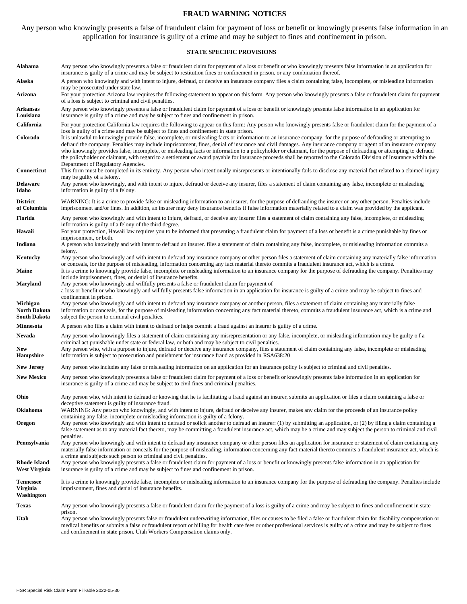#### **FRAUD WARNING NOTICES**

Any person who knowingly presents a false of fraudulent claim for payment of loss or benefit or knowingly presents false information in an application for insurance is guilty of a crime and may be subject to fines and confinement in prison.

#### **STATE SPECIFIC PROVISIONS**

| Alabama                                    | Any person who knowingly presents a false or fraudulent claim for payment of a loss or benefit or who knowingly presents false information in an application for<br>insurance is guilty of a crime and may be subject to restitution fines or confinement in prison, or any combination thereof.                                                                                                                                                                                                                                                                                                                                                                                                                                                                                                                 |  |  |  |  |  |  |  |
|--------------------------------------------|------------------------------------------------------------------------------------------------------------------------------------------------------------------------------------------------------------------------------------------------------------------------------------------------------------------------------------------------------------------------------------------------------------------------------------------------------------------------------------------------------------------------------------------------------------------------------------------------------------------------------------------------------------------------------------------------------------------------------------------------------------------------------------------------------------------|--|--|--|--|--|--|--|
| Alaska                                     | A person who knowingly and with intent to injure, defraud, or deceive an insurance company files a claim containing false, incomplete, or misleading information<br>may be prosecuted under state law.                                                                                                                                                                                                                                                                                                                                                                                                                                                                                                                                                                                                           |  |  |  |  |  |  |  |
| Arizona                                    | For your protection Arizona law requires the following statement to appear on this form. Any person who knowingly presents a false or fraudulent claim for payment<br>of a loss is subject to criminal and civil penalties.                                                                                                                                                                                                                                                                                                                                                                                                                                                                                                                                                                                      |  |  |  |  |  |  |  |
| Arkansas<br>Louisiana                      | Any person who knowingly presents a false or fraudulent claim for payment of a loss or benefit or knowingly presents false information in an application for<br>insurance is guilty of a crime and may be subject to fines and confinement in prison.                                                                                                                                                                                                                                                                                                                                                                                                                                                                                                                                                            |  |  |  |  |  |  |  |
| California                                 | For your protection California law requires the following to appear on this form: Any person who knowingly presents false or fraudulent claim for the payment of a                                                                                                                                                                                                                                                                                                                                                                                                                                                                                                                                                                                                                                               |  |  |  |  |  |  |  |
| Colorado                                   | loss is guilty of a crime and may be subject to fines and confinement in state prison.<br>It is unlawful to knowingly provide false, incomplete, or misleading facts or information to an insurance company, for the purpose of defrauding or attempting to<br>defraud the company. Penalties may include imprisonment, fines, denial of insurance and civil damages. Any insurance company or agent of an insurance company<br>who knowingly provides false, incomplete, or misleading facts or information to a policyholder or claimant, for the purpose of defrauding or attempting to defraud<br>the policyholder or claimant, with regard to a settlement or award payable for insurance proceeds shall be reported to the Colorado Division of Insurance within the<br>Department of Regulatory Agencies. |  |  |  |  |  |  |  |
| Connecticut                                | This form must be completed in its entirety. Any person who intentionally misrepresents or intentionally fails to disclose any material fact related to a claimed injury<br>may be guilty of a felony.                                                                                                                                                                                                                                                                                                                                                                                                                                                                                                                                                                                                           |  |  |  |  |  |  |  |
| <b>Delaware</b><br>Idaho                   | Any person who knowingly, and with intent to injure, defraud or deceive any insurer, files a statement of claim containing any false, incomplete or misleading<br>information is guilty of a felony.                                                                                                                                                                                                                                                                                                                                                                                                                                                                                                                                                                                                             |  |  |  |  |  |  |  |
| <b>District</b><br>of Columbia             | WARNING: It is a crime to provide false or misleading information to an insurer, for the purpose of defrauding the insurer or any other person. Penalties include<br>imprisonment and/or fines. In addition, an insurer may deny insurance benefits if false information materially related to a claim was provided by the applicant.                                                                                                                                                                                                                                                                                                                                                                                                                                                                            |  |  |  |  |  |  |  |
| Florida                                    | Any person who knowingly and with intent to injure, defraud, or deceive any insurer files a statement of claim containing any false, incomplete, or misleading<br>information is guilty of a felony of the third degree.                                                                                                                                                                                                                                                                                                                                                                                                                                                                                                                                                                                         |  |  |  |  |  |  |  |
| Hawaii                                     | For your protection, Hawaii law requires you to be informed that presenting a fraudulent claim for payment of a loss or benefit is a crime punishable by fines or<br>imprisonment, or both.                                                                                                                                                                                                                                                                                                                                                                                                                                                                                                                                                                                                                      |  |  |  |  |  |  |  |
| Indiana                                    | A person who knowingly and with intent to defraud an insurer. files a statement of claim containing any false, incomplete, or misleading information commits a                                                                                                                                                                                                                                                                                                                                                                                                                                                                                                                                                                                                                                                   |  |  |  |  |  |  |  |
| Kentucky                                   | felony.<br>Any person who knowingly and with intent to defraud any insurance company or other person files a statement of claim containing any materially false information<br>or conceals, for the purpose of misleading, information concerning any fact material thereto commits a fraudulent insurance act, which is a crime.                                                                                                                                                                                                                                                                                                                                                                                                                                                                                |  |  |  |  |  |  |  |
| Maine                                      | It is a crime to knowingly provide false, incomplete or misleading information to an insurance company for the purpose of defrauding the company. Penalties may<br>include imprisonment, fines, or denial of insurance benefits.                                                                                                                                                                                                                                                                                                                                                                                                                                                                                                                                                                                 |  |  |  |  |  |  |  |
| Maryland                                   | Any person who knowingly and willfully presents a false or fraudulent claim for payment of<br>a loss or benefit or who knowingly and willfully presents false information in an application for insurance is guilty of a crime and may be subject to fines and                                                                                                                                                                                                                                                                                                                                                                                                                                                                                                                                                   |  |  |  |  |  |  |  |
| Michigan<br>North Dakota<br>South Dakota   | confinement in prison.<br>Any person who knowingly and with intent to defraud any insurance company or another person, files a statement of claim containing any materially false<br>information or conceals, for the purpose of misleading information concerning any fact material thereto, commits a fraudulent insurance act, which is a crime and<br>subject the person to criminal civil penalties.                                                                                                                                                                                                                                                                                                                                                                                                        |  |  |  |  |  |  |  |
| Minnesota                                  | A person who files a claim with intent to defraud or helps commit a fraud against an insurer is guilty of a crime.                                                                                                                                                                                                                                                                                                                                                                                                                                                                                                                                                                                                                                                                                               |  |  |  |  |  |  |  |
| Nevada<br>New<br><b>Hampshire</b>          | Any person who knowingly files a statement of claim containing any misrepresentation or any false, incomplete, or misleading information may be guilty of a<br>criminal act punishable under state or federal law, or both and may be subject to civil penalties.<br>Any person who, with a purpose to injure, defraud or deceive any insurance company, files a statement of claim containing any false, incomplete or misleading<br>information is subject to prosecution and punishment for insurance fraud as provided in RSA638:20                                                                                                                                                                                                                                                                          |  |  |  |  |  |  |  |
| <b>New Jersey</b>                          | Any person who includes any false or misleading information on an application for an insurance policy is subject to criminal and civil penalties.                                                                                                                                                                                                                                                                                                                                                                                                                                                                                                                                                                                                                                                                |  |  |  |  |  |  |  |
| <b>New Mexico</b>                          | Any person who knowingly presents a false or fraudulent claim for payment of a loss or benefit or knowingly presents false information in an application for<br>insurance is guilty of a crime and may be subject to civil fines and criminal penalties.                                                                                                                                                                                                                                                                                                                                                                                                                                                                                                                                                         |  |  |  |  |  |  |  |
| Ohio                                       | Any person who, with intent to defraud or knowing that he is facilitating a fraud against an insurer, submits an application or files a claim containing a false or<br>deceptive statement is guilty of insurance fraud.                                                                                                                                                                                                                                                                                                                                                                                                                                                                                                                                                                                         |  |  |  |  |  |  |  |
| Oklahoma                                   | WARNING: Any person who knowingly, and with intent to injure, defraud or deceive any insurer, makes any claim for the proceeds of an insurance policy<br>containing any false, incomplete or misleading information is guilty of a felony.                                                                                                                                                                                                                                                                                                                                                                                                                                                                                                                                                                       |  |  |  |  |  |  |  |
| Oregon                                     | Any person who knowingly and with intent to defraud or solicit another to defraud an insurer: (1) by submitting an application, or (2) by filing a claim containing a<br>false statement as to any material fact thereto, may be committing a fraudulent insurance act, which may be a crime and may subject the person to criminal and civil                                                                                                                                                                                                                                                                                                                                                                                                                                                                    |  |  |  |  |  |  |  |
| Pennsylvania                               | penalties.<br>Any person who knowingly and with intent to defraud any insurance company or other person files an application for insurance or statement of claim containing any<br>materially false information or conceals for the purpose of misleading, information concerning any fact material thereto commits a fraudulent insurance act, which is<br>a crime and subjects such person to criminal and civil penalties.                                                                                                                                                                                                                                                                                                                                                                                    |  |  |  |  |  |  |  |
| <b>Rhode Island</b><br>West Virginia       | Any person who knowingly presents a false or fraudulent claim for payment of a loss or benefit or knowingly presents false information in an application for<br>insurance is guilty of a crime and may be subject to fines and confinement in prison.                                                                                                                                                                                                                                                                                                                                                                                                                                                                                                                                                            |  |  |  |  |  |  |  |
| <b>Tennessee</b><br>Virginia<br>Washington | It is a crime to knowingly provide false, incomplete or misleading information to an insurance company for the purpose of defrauding the company. Penalties include<br>imprisonment, fines and denial of insurance benefits.                                                                                                                                                                                                                                                                                                                                                                                                                                                                                                                                                                                     |  |  |  |  |  |  |  |
| <b>Texas</b>                               | Any person who knowingly presents a false or fraudulent claim for the payment of a loss is guilty of a crime and may be subject to fines and confinement in state                                                                                                                                                                                                                                                                                                                                                                                                                                                                                                                                                                                                                                                |  |  |  |  |  |  |  |
| Utah                                       | prison.<br>Any person who knowingly presents false or fraudulent underwriting information, files or causes to be filed a false or fraudulent claim for disability compensation or<br>medical benefits or submits a false or fraudulent report or billing for health care fees or other professional services is guilty of a crime and may be subject to fines<br>and confinement in state prison. Utah Workers Compensation claims only.                                                                                                                                                                                                                                                                                                                                                                         |  |  |  |  |  |  |  |